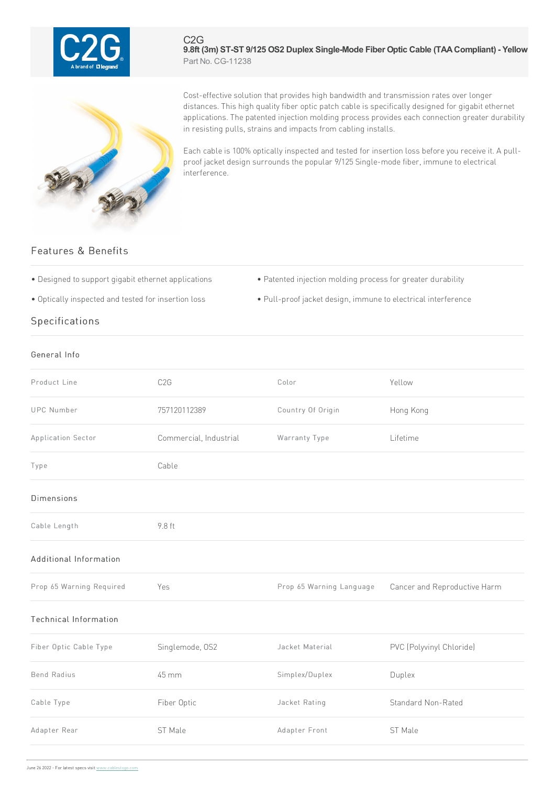

## C2G **9.8ft (3m) ST-ST 9/125 OS2 Duplex Single-Mode Fiber Optic Cable (TAACompliant) - Yellow** Part No. CG-11238



Cost-effective solution that provides high bandwidth and transmission rates over longer distances. This high quality fiber optic patch cable is specifically designed for gigabit ethernet applications. The patented injection molding process provides each connection greater durability in resisting pulls, strains and impacts from cabling installs.

Each cable is 100% optically inspected and tested for insertion loss before you receive it. A pullproof jacket design surrounds the popular 9/125 Single-mode fiber, immune to electrical interference.

## Features & Benefits

- 
- Designed to support gigabit ethernet applications Patented injection molding process for greater durability
- 
- Optically inspected and tested for insertion loss Pull-proof jacket design, immune to electrical interference

## Specifications

## General Info

| C <sub>2</sub> G       | Color                    | Yellow                       |
|------------------------|--------------------------|------------------------------|
| 757120112389           | Country Of Origin        | Hong Kong                    |
| Commercial, Industrial | Warranty Type            | Lifetime                     |
| Cable                  |                          |                              |
|                        |                          |                              |
| 9.8 ft                 |                          |                              |
|                        |                          |                              |
| Yes                    | Prop 65 Warning Language | Cancer and Reproductive Harm |
|                        |                          |                              |
| Singlemode, OS2        | Jacket Material          | PVC (Polyvinyl Chloride)     |
| 45 mm                  | Simplex/Duplex           | Duplex                       |
| Fiber Optic            | Jacket Rating            | Standard Non-Rated           |
| ST Male                | Adapter Front            | ST Male                      |
|                        |                          |                              |